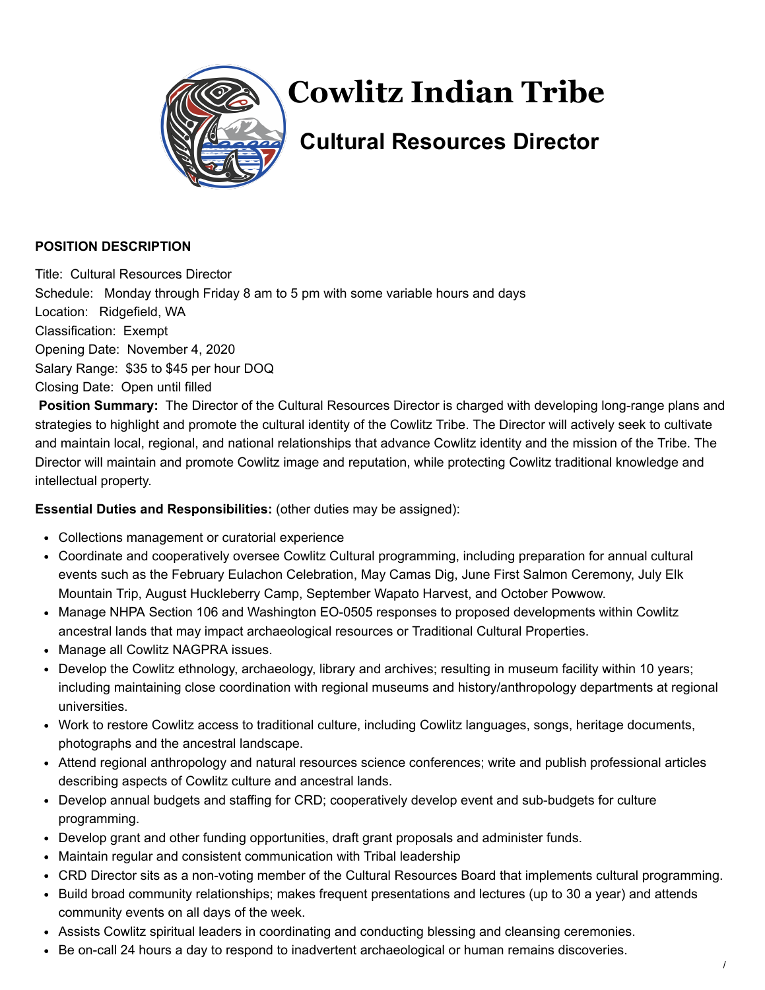

# **Cowlitz Indian Tribe**

# **Cultural Resources Director**

### **POSITION DESCRIPTION**

Title: Cultural Resources Director Schedule: Monday through Friday 8 am to 5 pm with some variable hours and days Location: Ridgefield, WA Classification: Exempt Opening Date: November 4, 2020 Salary Range: \$35 to \$45 per hour DOQ Closing Date: Open until filled

**Position Summary:** The Director of the Cultural Resources Director is charged with developing long-range plans and strategies to highlight and promote the cultural identity of the Cowlitz Tribe. The Director will actively seek to cultivate and maintain local, regional, and national relationships that advance Cowlitz identity and the mission of the Tribe. The Director will maintain and promote Cowlitz image and reputation, while protecting Cowlitz traditional knowledge and intellectual property.

## **Essential Duties and Responsibilities:** (other duties may be assigned):

- Collections management or curatorial experience
- Coordinate and cooperatively oversee Cowlitz Cultural programming, including preparation for annual cultural events such as the February Eulachon Celebration, May Camas Dig, June First Salmon Ceremony, July Elk Mountain Trip, August Huckleberry Camp, September Wapato Harvest, and October Powwow.
- Manage NHPA Section 106 and Washington EO-0505 responses to proposed developments within Cowlitz ancestral lands that may impact archaeological resources or Traditional Cultural Properties.
- Manage all Cowlitz NAGPRA issues.
- Develop the Cowlitz ethnology, archaeology, library and archives; resulting in museum facility within 10 years; including maintaining close coordination with regional museums and history/anthropology departments at regional universities.
- Work to restore Cowlitz access to traditional culture, including Cowlitz languages, songs, heritage documents, photographs and the ancestral landscape.
- Attend regional anthropology and natural resources science conferences; write and publish professional articles describing aspects of Cowlitz culture and ancestral lands.
- Develop annual budgets and staffing for CRD; cooperatively develop event and sub-budgets for culture programming.
- Develop grant and other funding opportunities, draft grant proposals and administer funds.
- Maintain regular and consistent communication with Tribal leadership
- CRD Director sits as a non-voting member of the Cultural Resources Board that implements cultural programming.
- Build broad community relationships; makes frequent presentations and lectures (up to 30 a year) and attends community events on all days of the week.
- Assists Cowlitz spiritual leaders in coordinating and conducting blessing and cleansing ceremonies.
- Be on-call 24 hours a day to respond to inadvertent archaeological or human remains discoveries.